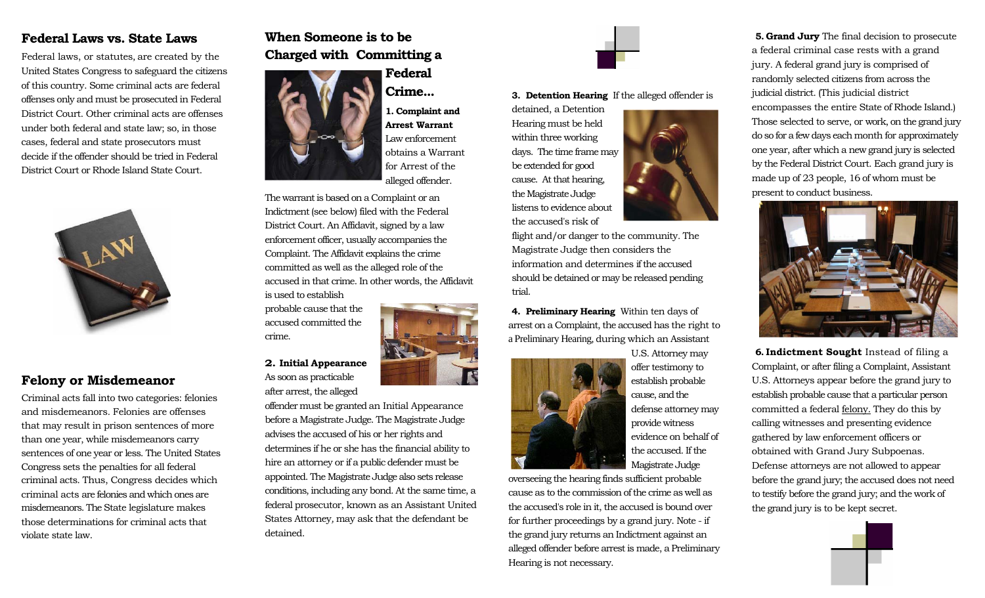# **Federal Laws vs. State Laws**

Federal laws, or statutes*,* are created by the United States Congress to safeguard the citizens of this country. Some criminal acts are federal offenses only and must be prosecuted in Federal District Court. Other criminal acts are offenses under both federal and state law; so, in those cases, federal and state prosecutors must decide if the offender should be tried in Federal District Court or Rhode Island State Court.



## **Felony or Misdemeanor**

Criminal acts fall into two categories: felonies and misdemeanors*.* Felonies are offenses that may result in prison sentences of more than one year, while misdemeanors carry sentences of one year or less. The United States Congress sets the penalties for all federal criminal acts. Thus, Congress decides which criminal acts are felonies and which ones are misdemeanors. The State legislature makes those determinations for criminal acts that violate state law.

# **When Someone is to be Charged with Committing a**



# **Federal Crime...**

**1. Complaint and Arrest Warrant**  Law enforcement obtains a Warrant for Arrest of the alleged offender.

The warrant is based on a Complaint or an Indictment(see below) filed with the Federal District Court. An Affidavit, signed by a law enforcement officer, usually accompanies the Complaint. The Affidavit explains the crime committed as well as the alleged role of the accused in that crime. In other words, the Affidavit is used to establish

probable cause that the accused committed the crime.

**2. Initial Appearance** As soon as practicable after arrest, the alleged

offender must be granted an Initial Appearance before a Magistrate Judge. The Magistrate Judge advises the accused of his or her rights and determines if he or she has the financial ability to hire an attorney or if a public defender must be appointed. The Magistrate Judge also sets release conditions, including any bond. At the same time, a federal prosecutor, known as an Assistant United States Attorney*,* may ask that the defendant be detained.



**3. Detention Hearing** If the alleged offender is

detained, a Detention Hearing must be held within three working days. The time frame may be extended for good cause. At that hearing, the Magistrate Judge listens to evidence about the accused's risk of



**4. Preliminary Hearing** Within ten days of arrest on a Complaint, the accused has the right to a Preliminary Hearing*,* during which an Assistant



U.S. Attorney may offer testimony to establish probable cause, and the defense attorney may provide witness evidence on behalf of the accused. If the Magistrate Judge

overseeing the hearing finds sufficient probable cause as to the commission of the crime as well as the accused's role in it, the accused is bound over for further proceedings by a grand jury. Note - if the grand jury returns an Indictment against an alleged offender before arrest is made, a Preliminary Hearing is not necessary.

**5. Grand Jury** The final decision to prosecute a federal criminal case rests with a grand jury*.* A federal grand jury is comprised of randomly selected citizens from across the judicial district. (This judicial district encompasses the entire State of Rhode Island.) Those selected to serve, or work, on the grand jury do so for a few days each month for approximately one year, after which a new grand jury is selected by the Federal District Court. Each grand jury is made up of 23 people, 16 of whom must be present to conduct business.



**6. Indictment Sought** Instead of filing a Complaint, or after filing a Complaint, Assistant U.S. Attorneys appear before the grand jury to establish probable cause that a particular person committed a federal felony. They do this by calling witnesses and presenting evidence gathered by law enforcement officers or obtained with Grand Jury Subpoenas*.*  Defense attorneys are not allowed to appear before the grand jury; the accused does not need to testify before the grand jury; and the work of the grand jury is to be kept secret.